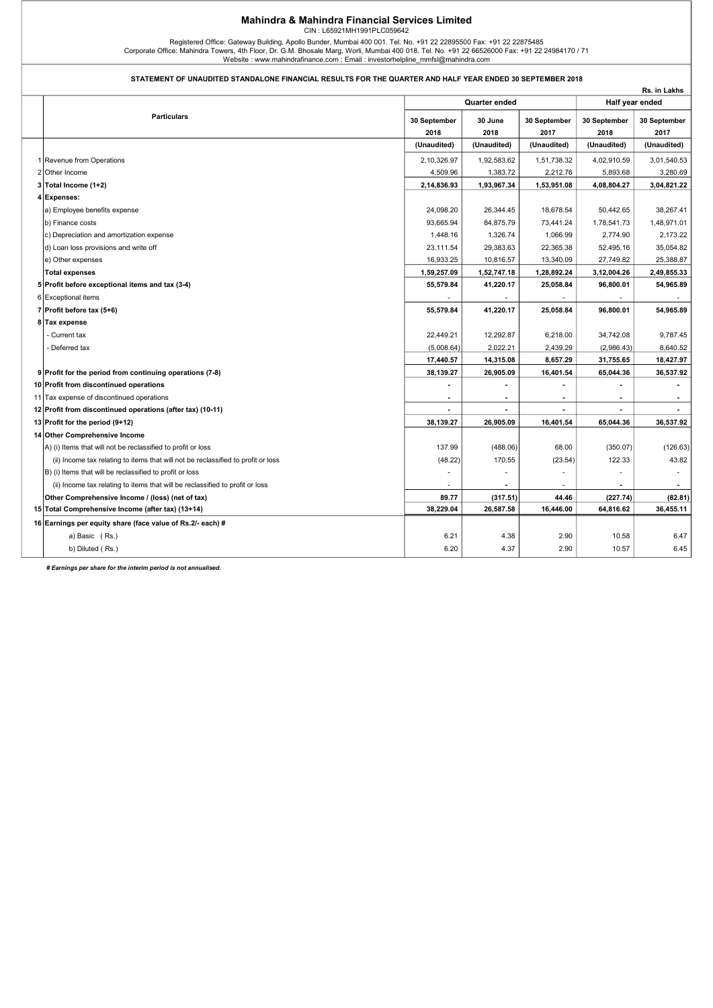## Mahindra & Mahindra Financial Services Limited CIN : L65921MH1991PLC059642

Registered Office: Gateway Building, Apollo Bunder, Mumbai 400 001. Tel. No. +91 22 22895500 Fax: +91 22 22875485<br>17 Corporate Office: Mahindra Towers, 4th Floor, Dr. G.M. Bhosale Marg, Worli, Mumbai 400 018. Tel. No. +91

## STATEMENT OF UNAUDITED STANDALONE FINANCIAL RESULTS FOR THE QUARTER AND HALF YEAR ENDED 30 SEPTEMBER 2018

|                                                                                   |               |             |                |                 | Rs. in Lakhs |
|-----------------------------------------------------------------------------------|---------------|-------------|----------------|-----------------|--------------|
|                                                                                   | Quarter ended |             |                | Half year ended |              |
| <b>Particulars</b>                                                                | 30 September  | 30 June     | 30 September   | 30 September    | 30 September |
|                                                                                   | 2018          | 2018        | 2017           | 2018            | 2017         |
|                                                                                   | (Unaudited)   | (Unaudited) | (Unaudited)    | (Unaudited)     | (Unaudited)  |
| 1 Revenue from Operations                                                         | 2,10,326.97   | 1,92,583.62 | 1,51,738.32    | 4,02,910.59     | 3,01,540.53  |
| 2 Other Income                                                                    | 4,509.96      | 1,383.72    | 2,212.76       | 5,893.68        | 3,280.69     |
| 3 Total Income (1+2)                                                              | 2,14,836.93   | 1,93,967.34 | 1,53,951.08    | 4,08,804.27     | 3,04,821.22  |
| 4 Expenses:                                                                       |               |             |                |                 |              |
| a) Employee benefits expense                                                      | 24,098.20     | 26,344.45   | 18,678.54      | 50,442.65       | 38,267.41    |
| b) Finance costs                                                                  | 93,665.94     | 84,875.79   | 73,441.24      | 1,78,541.73     | 1,48,971.01  |
| c) Depreciation and amortization expense                                          | 1,448.16      | 1,326.74    | 1,066.99       | 2,774.90        | 2,173.22     |
| d) Loan loss provisions and write off                                             | 23,111.54     | 29,383.63   | 22,365.38      | 52,495.16       | 35,054.82    |
| e) Other expenses                                                                 | 16,933.25     | 10,816.57   | 13,340.09      | 27,749.82       | 25,388.87    |
| <b>Total expenses</b>                                                             | 1,59,257.09   | 1,52,747.18 | 1,28,892.24    | 3,12,004.26     | 2,49,855.33  |
| 5 Profit before exceptional items and tax (3-4)                                   | 55,579.84     | 41,220.17   | 25,058.84      | 96,800.01       | 54,965.89    |
| 6 Exceptional items                                                               |               |             |                |                 |              |
| 7 Profit before tax (5+6)                                                         | 55,579.84     | 41,220.17   | 25,058.84      | 96,800.01       | 54,965.89    |
| 8 Tax expense                                                                     |               |             |                |                 |              |
| Current tax                                                                       | 22,449.21     | 12,292.87   | 6,218.00       | 34,742.08       | 9,787.45     |
| - Deferred tax                                                                    | (5,008.64)    | 2,022.21    | 2,439.29       | (2,986.43)      | 8,640.52     |
|                                                                                   | 17,440.57     | 14,315.08   | 8,657.29       | 31,755.65       | 18,427.97    |
| 9 Profit for the period from continuing operations (7-8)                          | 38,139.27     | 26,905.09   | 16,401.54      | 65,044.36       | 36,537.92    |
| 10 Profit from discontinued operations                                            |               |             |                |                 |              |
| 11 Tax expense of discontinued operations                                         |               |             | $\blacksquare$ |                 |              |
| 12 Profit from discontinued operations (after tax) (10-11)                        |               |             |                |                 |              |
| 13 Profit for the period (9+12)                                                   | 38,139.27     | 26,905.09   | 16,401.54      | 65,044.36       | 36,537.92    |
| 14 Other Comprehensive Income                                                     |               |             |                |                 |              |
| A) (i) Items that will not be reclassified to profit or loss                      | 137.99        | (488.06)    | 68.00          | (350.07)        | (126.63)     |
| (ii) Income tax relating to items that will not be reclassified to profit or loss | (48.22)       | 170.55      | (23.54)        | 122.33          | 43.82        |
| B) (i) Items that will be reclassified to profit or loss                          |               |             |                |                 |              |
| (ii) Income tax relating to items that will be reclassified to profit or loss     |               |             |                |                 |              |
| Other Comprehensive Income / (loss) (net of tax)                                  | 89.77         | (317.51)    | 44.46          | (227.74)        | (82.81)      |
| 15 Total Comprehensive Income (after tax) (13+14)                                 | 38,229.04     | 26,587.58   | 16,446.00      | 64,816.62       | 36,455.11    |
| 16 Earnings per equity share (face value of Rs.2/- each) #                        |               |             |                |                 |              |
| a) Basic (Rs.)                                                                    | 6.21          | 4.38        | 2.90           | 10.58           | 6.47         |
| b) Diluted (Rs.)                                                                  | 6.20          | 4.37        | 2.90           | 10.57           | 6.45         |

# Earnings per share for the interim period is not annualised.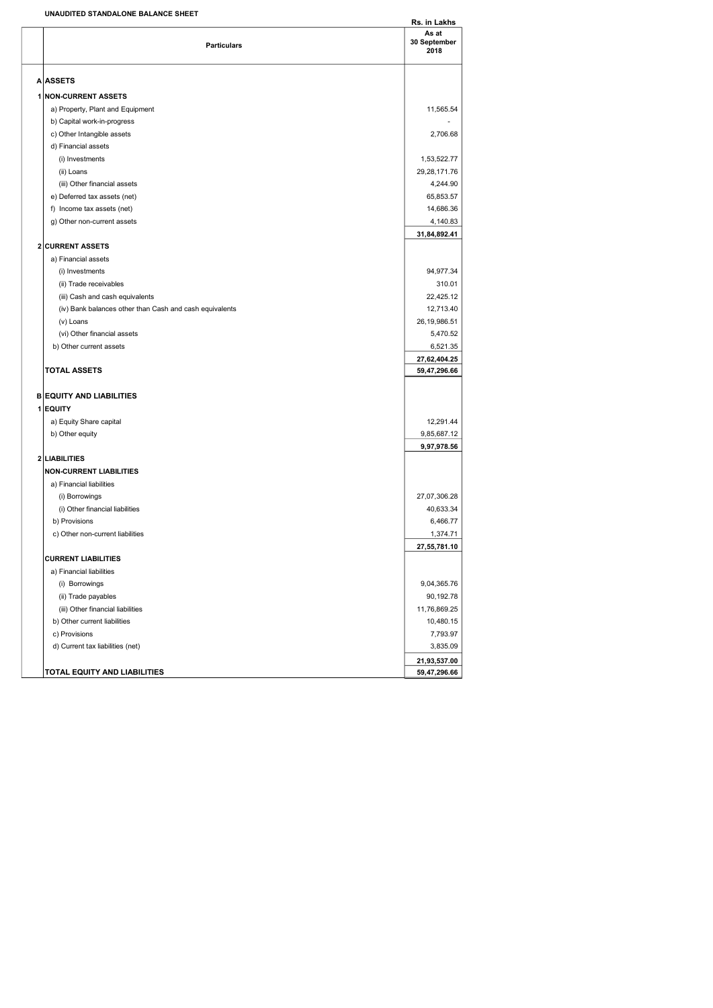## UNAUDITED STANDALONE BALANCE SHEET

| UNAUDITED STANDALONE BALANCE SHEET                      |                               |
|---------------------------------------------------------|-------------------------------|
| <b>Particulars</b>                                      | As at<br>30 September<br>2018 |
| <b>A ASSETS</b>                                         |                               |
| <b>1 NON-CURRENT ASSETS</b>                             |                               |
| a) Property, Plant and Equipment                        | 11,565.54                     |
| b) Capital work-in-progress                             |                               |
| c) Other Intangible assets                              | 2,706.68                      |
| d) Financial assets                                     |                               |
| (i) Investments                                         | 1,53,522.77                   |
| (ii) Loans                                              | 29,28,171.76                  |
| (iii) Other financial assets                            | 4,244.90                      |
| e) Deferred tax assets (net)                            | 65,853.57                     |
| f) Income tax assets (net)                              | 14,686.36                     |
| g) Other non-current assets                             | 4,140.83                      |
|                                                         | 31,84,892.41                  |
| <b>2 CURRENT ASSETS</b>                                 |                               |
| a) Financial assets                                     |                               |
| (i) Investments                                         | 94,977.34                     |
| (ii) Trade receivables                                  | 310.01                        |
| (iii) Cash and cash equivalents                         | 22,425.12                     |
| (iv) Bank balances other than Cash and cash equivalents | 12,713.40                     |
| (v) Loans                                               | 26, 19, 986.51                |
| (vi) Other financial assets                             | 5,470.52                      |
| b) Other current assets                                 | 6,521.35                      |
|                                                         | 27,62,404.25                  |
| <b>TOTAL ASSETS</b>                                     | 59,47,296.66                  |
| <b>B EQUITY AND LIABILITIES</b>                         |                               |
| 1 EQUITY                                                |                               |
| a) Equity Share capital                                 | 12,291.44                     |
| b) Other equity                                         | 9,85,687.12                   |
|                                                         | 9,97,978.56                   |
| 2 LIABILITIES                                           |                               |
| <b>NON-CURRENT LIABILITIES</b>                          |                               |
| a) Financial liabilities                                |                               |
| (i) Borrowings                                          | 27,07,306.28                  |
| (i) Other financial liabilities                         | 40,633.34                     |
| b) Provisions                                           | 6,466.77                      |
| c) Other non-current liabilities                        | 1,374.71                      |
|                                                         | 27,55,781.10                  |
| <b>CURRENT LIABILITIES</b>                              |                               |
| a) Financial liabilities                                |                               |
| (i) Borrowings                                          | 9,04,365.76                   |
| (ii) Trade payables                                     | 90,192.78                     |
| (iii) Other financial liabilities                       | 11,76,869.25                  |
| b) Other current liabilities                            | 10,480.15                     |
| c) Provisions                                           | 7,793.97                      |
| d) Current tax liabilities (net)                        | 3,835.09                      |
|                                                         | 21,93,537.00                  |
| TOTAL EQUITY AND LIABILITIES                            | 59,47,296.66                  |